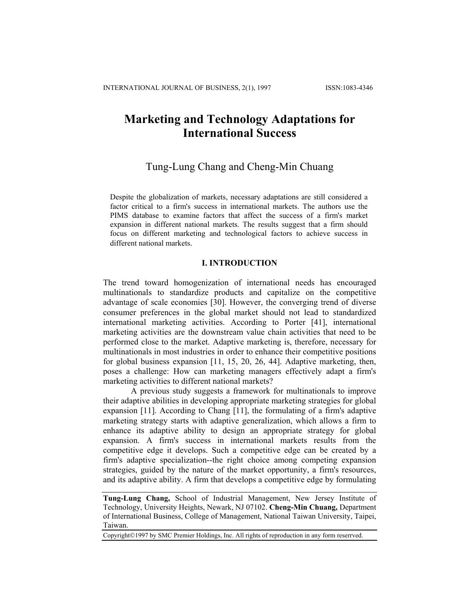# **Marketing and Technology Adaptations for International Success**

# Tung-Lung Chang and Cheng-Min Chuang

Despite the globalization of markets, necessary adaptations are still considered a factor critical to a firm's success in international markets. The authors use the PIMS database to examine factors that affect the success of a firm's market expansion in different national markets. The results suggest that a firm should focus on different marketing and technological factors to achieve success in different national markets.

### **I. INTRODUCTION**

The trend toward homogenization of international needs has encouraged multinationals to standardize products and capitalize on the competitive advantage of scale economies [30]. However, the converging trend of diverse consumer preferences in the global market should not lead to standardized international marketing activities. According to Porter [41], international marketing activities are the downstream value chain activities that need to be performed close to the market. Adaptive marketing is, therefore, necessary for multinationals in most industries in order to enhance their competitive positions for global business expansion [11, 15, 20, 26, 44]. Adaptive marketing, then, poses a challenge: How can marketing managers effectively adapt a firm's marketing activities to different national markets?

A previous study suggests a framework for multinationals to improve their adaptive abilities in developing appropriate marketing strategies for global expansion [11]. According to Chang [11], the formulating of a firm's adaptive marketing strategy starts with adaptive generalization, which allows a firm to enhance its adaptive ability to design an appropriate strategy for global expansion. A firm's success in international markets results from the competitive edge it develops. Such a competitive edge can be created by a firm's adaptive specialization--the right choice among competing expansion strategies, guided by the nature of the market opportunity, a firm's resources, and its adaptive ability. A firm that develops a competitive edge by formulating

Copyright©1997 by SMC Premier Holdings, Inc. All rights of reproduction in any form reserrved.

**Tung-Lung Chang,** School of Industrial Management, New Jersey Institute of Technology, University Heights, Newark, NJ 07102. **Cheng-Min Chuang,** Department of International Business, College of Management, National Taiwan University, Taipei, Taiwan.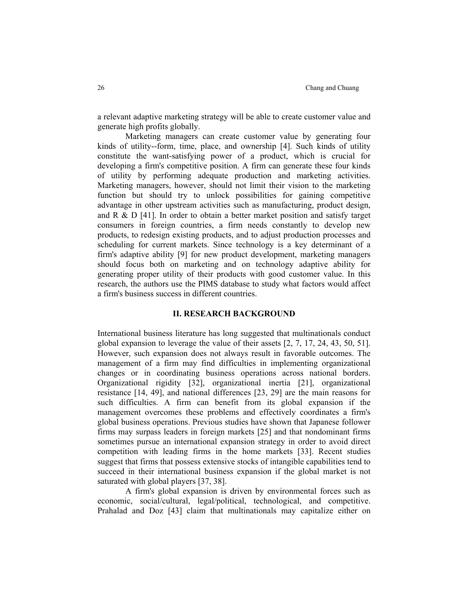a relevant adaptive marketing strategy will be able to create customer value and generate high profits globally.

 Marketing managers can create customer value by generating four kinds of utility--form, time, place, and ownership [4]. Such kinds of utility constitute the want-satisfying power of a product, which is crucial for developing a firm's competitive position. A firm can generate these four kinds of utility by performing adequate production and marketing activities. Marketing managers, however, should not limit their vision to the marketing function but should try to unlock possibilities for gaining competitive advantage in other upstream activities such as manufacturing, product design, and R  $\&$  D [41]. In order to obtain a better market position and satisfy target consumers in foreign countries, a firm needs constantly to develop new products, to redesign existing products, and to adjust production processes and scheduling for current markets. Since technology is a key determinant of a firm's adaptive ability [9] for new product development, marketing managers should focus both on marketing and on technology adaptive ability for generating proper utility of their products with good customer value. In this research, the authors use the PIMS database to study what factors would affect a firm's business success in different countries.

### **II. RESEARCH BACKGROUND**

International business literature has long suggested that multinationals conduct global expansion to leverage the value of their assets [2, 7, 17, 24, 43, 50, 51]. However, such expansion does not always result in favorable outcomes. The management of a firm may find difficulties in implementing organizational changes or in coordinating business operations across national borders. Organizational rigidity [32], organizational inertia [21], organizational resistance [14, 49], and national differences [23, 29] are the main reasons for such difficulties. A firm can benefit from its global expansion if the management overcomes these problems and effectively coordinates a firm's global business operations. Previous studies have shown that Japanese follower firms may surpass leaders in foreign markets [25] and that nondominant firms sometimes pursue an international expansion strategy in order to avoid direct competition with leading firms in the home markets [33]. Recent studies suggest that firms that possess extensive stocks of intangible capabilities tend to succeed in their international business expansion if the global market is not saturated with global players [37, 38].

 A firm's global expansion is driven by environmental forces such as economic, social/cultural, legal/political, technological, and competitive. Prahalad and Doz [43] claim that multinationals may capitalize either on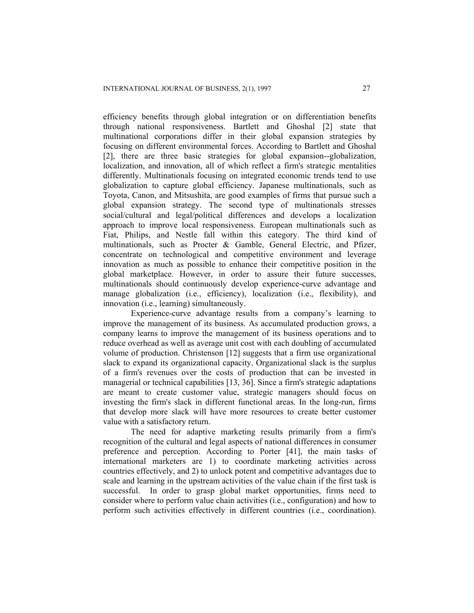efficiency benefits through global integration or on differentiation benefits through national responsiveness. Bartlett and Ghoshal [2] state that multinational corporations differ in their global expansion strategies by focusing on different environmental forces. According to Bartlett and Ghoshal [2], there are three basic strategies for global expansion--globalization, localization, and innovation, all of which reflect a firm's strategic mentalities differently. Multinationals focusing on integrated economic trends tend to use globalization to capture global efficiency. Japanese multinationals, such as Toyota, Canon, and Mitsushita, are good examples of firms that pursue such a global expansion strategy. The second type of multinationals stresses social/cultural and legal/political differences and develops a localization approach to improve local responsiveness. European multinationals such as Fiat, Philips, and Nestle fall within this category. The third kind of multinationals, such as Procter & Gamble, General Electric, and Pfizer, concentrate on technological and competitive environment and leverage innovation as much as possible to enhance their competitive position in the global marketplace. However, in order to assure their future successes, multinationals should continuously develop experience-curve advantage and manage globalization (i.e., efficiency), localization (i.e., flexibility), and innovation (i.e., learning) simultaneously.

 Experience-curve advantage results from a company's learning to improve the management of its business. As accumulated production grows, a company learns to improve the management of its business operations and to reduce overhead as well as average unit cost with each doubling of accumulated volume of production. Christenson [12] suggests that a firm use organizational slack to expand its organizational capacity. Organizational slack is the surplus of a firm's revenues over the costs of production that can be invested in managerial or technical capabilities [13, 36]. Since a firm's strategic adaptations are meant to create customer value, strategic managers should focus on investing the firm's slack in different functional areas. In the long-run, firms that develop more slack will have more resources to create better customer value with a satisfactory return.

 The need for adaptive marketing results primarily from a firm's recognition of the cultural and legal aspects of national differences in consumer preference and perception. According to Porter [41], the main tasks of international marketers are 1) to coordinate marketing activities across countries effectively, and 2) to unlock potent and competitive advantages due to scale and learning in the upstream activities of the value chain if the first task is successful. In order to grasp global market opportunities, firms need to consider where to perform value chain activities (i.e., configuration) and how to perform such activities effectively in different countries (i.e., coordination).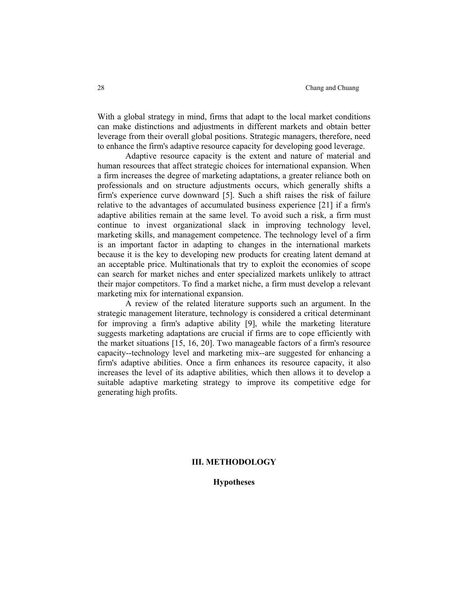#### 28 Chang and Chuang and Chuang and Chuang and Chuang and Chuang and Chuang and Chuang and Chuang and Chuang and Chuang and Chuang and Chuang and Chuang and Chuang and Chuang and Chuang and Chuang and Chuang and Chuang and

With a global strategy in mind, firms that adapt to the local market conditions can make distinctions and adjustments in different markets and obtain better leverage from their overall global positions. Strategic managers, therefore, need to enhance the firm's adaptive resource capacity for developing good leverage.

 Adaptive resource capacity is the extent and nature of material and human resources that affect strategic choices for international expansion. When a firm increases the degree of marketing adaptations, a greater reliance both on professionals and on structure adjustments occurs, which generally shifts a firm's experience curve downward [5]. Such a shift raises the risk of failure relative to the advantages of accumulated business experience [21] if a firm's adaptive abilities remain at the same level. To avoid such a risk, a firm must continue to invest organizational slack in improving technology level, marketing skills, and management competence. The technology level of a firm is an important factor in adapting to changes in the international markets because it is the key to developing new products for creating latent demand at an acceptable price. Multinationals that try to exploit the economies of scope can search for market niches and enter specialized markets unlikely to attract their major competitors. To find a market niche, a firm must develop a relevant marketing mix for international expansion.

 A review of the related literature supports such an argument. In the strategic management literature, technology is considered a critical determinant for improving a firm's adaptive ability [9], while the marketing literature suggests marketing adaptations are crucial if firms are to cope efficiently with the market situations [15, 16, 20]. Two manageable factors of a firm's resource capacity--technology level and marketing mix--are suggested for enhancing a firm's adaptive abilities. Once a firm enhances its resource capacity, it also increases the level of its adaptive abilities, which then allows it to develop a suitable adaptive marketing strategy to improve its competitive edge for generating high profits.

### **III. METHODOLOGY**

**Hypotheses**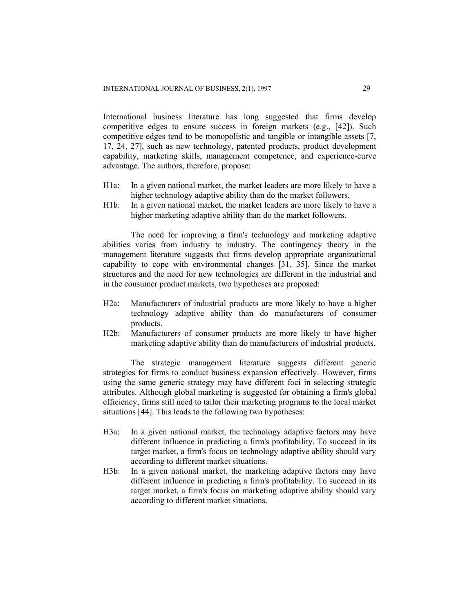International business literature has long suggested that firms develop competitive edges to ensure success in foreign markets (e.g., [42]). Such competitive edges tend to be monopolistic and tangible or intangible assets [7, 17, 24, 27], such as new technology, patented products, product development capability, marketing skills, management competence, and experience-curve advantage. The authors, therefore, propose:

- H1a: In a given national market, the market leaders are more likely to have a higher technology adaptive ability than do the market followers.
- H1b: In a given national market, the market leaders are more likely to have a higher marketing adaptive ability than do the market followers.

 The need for improving a firm's technology and marketing adaptive abilities varies from industry to industry. The contingency theory in the management literature suggests that firms develop appropriate organizational capability to cope with environmental changes [31, 35]. Since the market structures and the need for new technologies are different in the industrial and in the consumer product markets, two hypotheses are proposed:

- H2a: Manufacturers of industrial products are more likely to have a higher technology adaptive ability than do manufacturers of consumer products.
- H2b: Manufacturers of consumer products are more likely to have higher marketing adaptive ability than do manufacturers of industrial products.

 The strategic management literature suggests different generic strategies for firms to conduct business expansion effectively. However, firms using the same generic strategy may have different foci in selecting strategic attributes. Although global marketing is suggested for obtaining a firm's global efficiency, firms still need to tailor their marketing programs to the local market situations [44]. This leads to the following two hypotheses:

- H3a: In a given national market, the technology adaptive factors may have different influence in predicting a firm's profitability. To succeed in its target market, a firm's focus on technology adaptive ability should vary according to different market situations.
- H3b: In a given national market, the marketing adaptive factors may have different influence in predicting a firm's profitability. To succeed in its target market, a firm's focus on marketing adaptive ability should vary according to different market situations.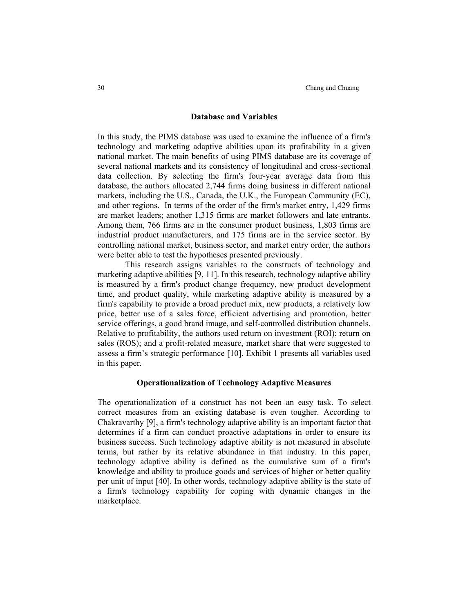#### **Database and Variables**

In this study, the PIMS database was used to examine the influence of a firm's technology and marketing adaptive abilities upon its profitability in a given national market. The main benefits of using PIMS database are its coverage of several national markets and its consistency of longitudinal and cross-sectional data collection. By selecting the firm's four-year average data from this database, the authors allocated 2,744 firms doing business in different national markets, including the U.S., Canada, the U.K., the European Community (EC), and other regions. In terms of the order of the firm's market entry, 1,429 firms are market leaders; another 1,315 firms are market followers and late entrants. Among them, 766 firms are in the consumer product business, 1,803 firms are industrial product manufacturers, and 175 firms are in the service sector. By controlling national market, business sector, and market entry order, the authors were better able to test the hypotheses presented previously.

 This research assigns variables to the constructs of technology and marketing adaptive abilities [9, 11]. In this research, technology adaptive ability is measured by a firm's product change frequency, new product development time, and product quality, while marketing adaptive ability is measured by a firm's capability to provide a broad product mix, new products, a relatively low price, better use of a sales force, efficient advertising and promotion, better service offerings, a good brand image, and self-controlled distribution channels. Relative to profitability, the authors used return on investment (ROI); return on sales (ROS); and a profit-related measure, market share that were suggested to assess a firm's strategic performance [10]. Exhibit 1 presents all variables used in this paper.

#### **Operationalization of Technology Adaptive Measures**

The operationalization of a construct has not been an easy task. To select correct measures from an existing database is even tougher. According to Chakravarthy [9], a firm's technology adaptive ability is an important factor that determines if a firm can conduct proactive adaptations in order to ensure its business success. Such technology adaptive ability is not measured in absolute terms, but rather by its relative abundance in that industry. In this paper, technology adaptive ability is defined as the cumulative sum of a firm's knowledge and ability to produce goods and services of higher or better quality per unit of input [40]. In other words, technology adaptive ability is the state of a firm's technology capability for coping with dynamic changes in the marketplace.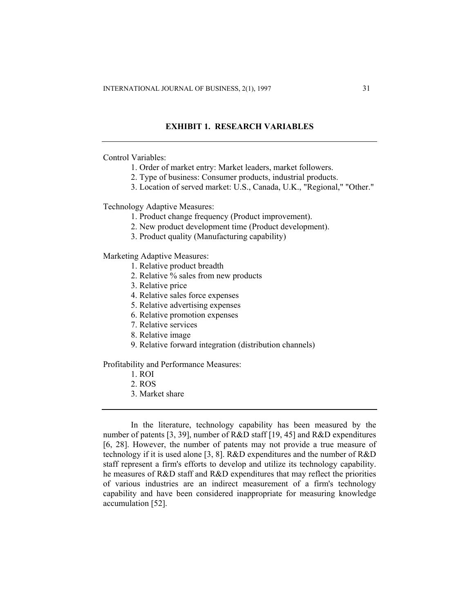### **EXHIBIT 1. RESEARCH VARIABLES**

Control Variables:

- 1. Order of market entry: Market leaders, market followers.
- 2. Type of business: Consumer products, industrial products.
- 3. Location of served market: U.S., Canada, U.K., "Regional," "Other."

Technology Adaptive Measures:

- 1. Product change frequency (Product improvement).
- 2. New product development time (Product development).
- 3. Product quality (Manufacturing capability)

Marketing Adaptive Measures:

- 1. Relative product breadth
- 2. Relative % sales from new products
- 3. Relative price
- 4. Relative sales force expenses
- 5. Relative advertising expenses
- 6. Relative promotion expenses
- 7. Relative services
- 8. Relative image
- 9. Relative forward integration (distribution channels)

Profitability and Performance Measures:

- 1. ROI
- 2. ROS
- 3. Market share

 In the literature, technology capability has been measured by the number of patents [3, 39], number of R&D staff [19, 45] and R&D expenditures [6, 28]. However, the number of patents may not provide a true measure of technology if it is used alone [3, 8]. R&D expenditures and the number of R&D staff represent a firm's efforts to develop and utilize its technology capability. he measures of R&D staff and R&D expenditures that may reflect the priorities of various industries are an indirect measurement of a firm's technology capability and have been considered inappropriate for measuring knowledge accumulation [52].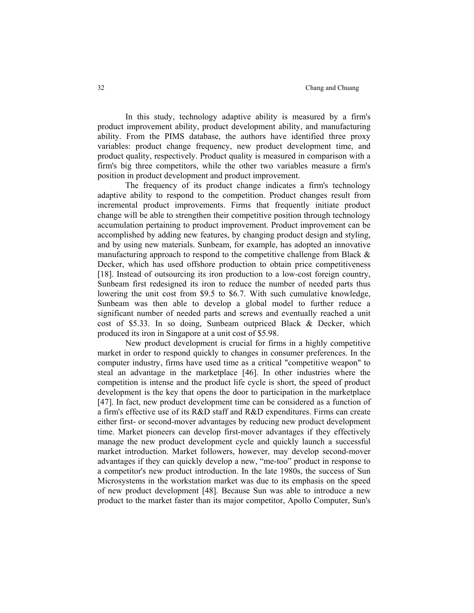In this study, technology adaptive ability is measured by a firm's product improvement ability, product development ability, and manufacturing ability. From the PIMS database, the authors have identified three proxy variables: product change frequency, new product development time, and product quality, respectively. Product quality is measured in comparison with a firm's big three competitors, while the other two variables measure a firm's position in product development and product improvement.

 The frequency of its product change indicates a firm's technology adaptive ability to respond to the competition. Product changes result from incremental product improvements. Firms that frequently initiate product change will be able to strengthen their competitive position through technology accumulation pertaining to product improvement. Product improvement can be accomplished by adding new features, by changing product design and styling, and by using new materials. Sunbeam, for example, has adopted an innovative manufacturing approach to respond to the competitive challenge from Black  $\&$ Decker, which has used offshore production to obtain price competitiveness [18]. Instead of outsourcing its iron production to a low-cost foreign country, Sunbeam first redesigned its iron to reduce the number of needed parts thus lowering the unit cost from \$9.5 to \$6.7. With such cumulative knowledge, Sunbeam was then able to develop a global model to further reduce a significant number of needed parts and screws and eventually reached a unit cost of \$5.33. In so doing, Sunbeam outpriced Black & Decker, which produced its iron in Singapore at a unit cost of \$5.98.

 New product development is crucial for firms in a highly competitive market in order to respond quickly to changes in consumer preferences. In the computer industry, firms have used time as a critical "competitive weapon" to steal an advantage in the marketplace [46]. In other industries where the competition is intense and the product life cycle is short, the speed of product development is the key that opens the door to participation in the marketplace [47]. In fact, new product development time can be considered as a function of a firm's effective use of its R&D staff and R&D expenditures. Firms can create either first- or second-mover advantages by reducing new product development time. Market pioneers can develop first-mover advantages if they effectively manage the new product development cycle and quickly launch a successful market introduction. Market followers, however, may develop second-mover advantages if they can quickly develop a new, "me-too" product in response to a competitor's new product introduction. In the late 1980s, the success of Sun Microsystems in the workstation market was due to its emphasis on the speed of new product development [48]. Because Sun was able to introduce a new product to the market faster than its major competitor, Apollo Computer, Sun's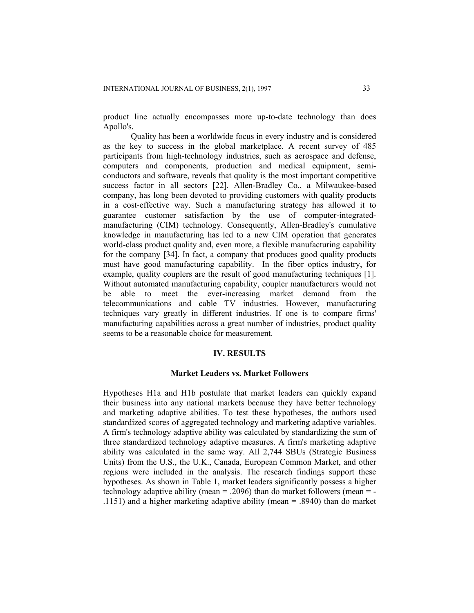product line actually encompasses more up-to-date technology than does Apollo's.

 Quality has been a worldwide focus in every industry and is considered as the key to success in the global marketplace. A recent survey of 485 participants from high-technology industries, such as aerospace and defense, computers and components, production and medical equipment, semiconductors and software, reveals that quality is the most important competitive success factor in all sectors [22]. Allen-Bradley Co., a Milwaukee-based company, has long been devoted to providing customers with quality products in a cost-effective way. Such a manufacturing strategy has allowed it to guarantee customer satisfaction by the use of computer-integratedmanufacturing (CIM) technology. Consequently, Allen-Bradley's cumulative knowledge in manufacturing has led to a new CIM operation that generates world-class product quality and, even more, a flexible manufacturing capability for the company [34]. In fact, a company that produces good quality products must have good manufacturing capability. In the fiber optics industry, for example, quality couplers are the result of good manufacturing techniques [1]. Without automated manufacturing capability, coupler manufacturers would not be able to meet the ever-increasing market demand from the telecommunications and cable TV industries. However, manufacturing techniques vary greatly in different industries. If one is to compare firms' manufacturing capabilities across a great number of industries, product quality seems to be a reasonable choice for measurement.

### **IV. RESULTS**

#### **Market Leaders vs. Market Followers**

Hypotheses H1a and H1b postulate that market leaders can quickly expand their business into any national markets because they have better technology and marketing adaptive abilities. To test these hypotheses, the authors used standardized scores of aggregated technology and marketing adaptive variables. A firm's technology adaptive ability was calculated by standardizing the sum of three standardized technology adaptive measures. A firm's marketing adaptive ability was calculated in the same way. All 2,744 SBUs (Strategic Business Units) from the U.S., the U.K., Canada, European Common Market, and other regions were included in the analysis. The research findings support these hypotheses. As shown in Table 1, market leaders significantly possess a higher technology adaptive ability (mean  $= .2096$ ) than do market followers (mean  $= -$ .1151) and a higher marketing adaptive ability (mean = .8940) than do market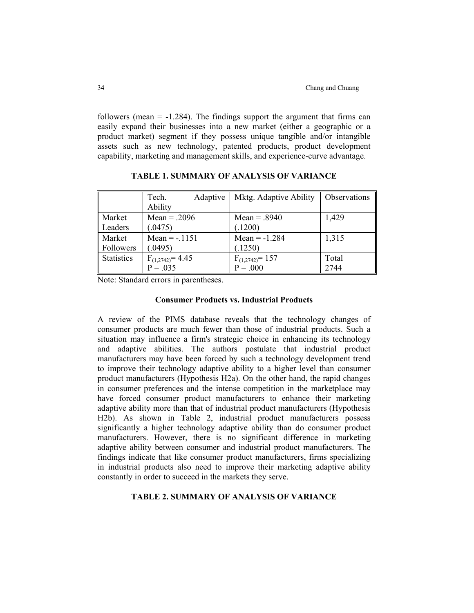followers (mean  $= -1.284$ ). The findings support the argument that firms can easily expand their businesses into a new market (either a geographic or a product market) segment if they possess unique tangible and/or intangible assets such as new technology, patented products, product development capability, marketing and management skills, and experience-curve advantage.

|                   | Adaptive<br>Tech.     | Mktg. Adaptive Ability | Observations |
|-------------------|-----------------------|------------------------|--------------|
|                   | Ability               |                        |              |
| Market            | $Mean = .2096$        | Mean = $.8940$         | 1,429        |
| Leaders           | (.0475)               | (.1200)                |              |
| Market            | Mean = $-1151$        | Mean = $-1.284$        | 1,315        |
| Followers         | (.0495)               | (.1250)                |              |
| <b>Statistics</b> | $F_{(1,2742)} = 4.45$ | $F_{(1,2742)} = 157$   | Total        |
|                   | $P = .035$            | $P = .000$             | 2744         |

**TABLE 1. SUMMARY OF ANALYSIS OF VARIANCE** 

Note: Standard errors in parentheses.

### **Consumer Products vs. Industrial Products**

A review of the PIMS database reveals that the technology changes of consumer products are much fewer than those of industrial products. Such a situation may influence a firm's strategic choice in enhancing its technology and adaptive abilities. The authors postulate that industrial product manufacturers may have been forced by such a technology development trend to improve their technology adaptive ability to a higher level than consumer product manufacturers (Hypothesis H2a). On the other hand, the rapid changes in consumer preferences and the intense competition in the marketplace may have forced consumer product manufacturers to enhance their marketing adaptive ability more than that of industrial product manufacturers (Hypothesis H2b). As shown in Table 2, industrial product manufacturers possess significantly a higher technology adaptive ability than do consumer product manufacturers. However, there is no significant difference in marketing adaptive ability between consumer and industrial product manufacturers. The findings indicate that like consumer product manufacturers, firms specializing in industrial products also need to improve their marketing adaptive ability constantly in order to succeed in the markets they serve.

#### **TABLE 2. SUMMARY OF ANALYSIS OF VARIANCE**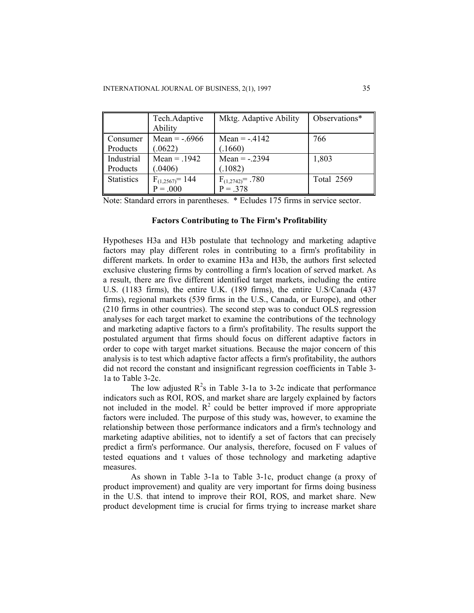|                   | Tech.Adaptive<br>Ability           | Mktg. Adaptive Ability              | Observations*     |
|-------------------|------------------------------------|-------------------------------------|-------------------|
| Consumer          | Mean = $-6966$                     | Mean $= -0.4142$                    | 766               |
| Products          | (.0622)                            | (.1660)                             |                   |
| Industrial        | $Mean = .1942$                     | Mean = $-.2394$                     | 1,803             |
| Products          | (.0406)                            | (.1082)                             |                   |
| <b>Statistics</b> | $F_{(1,2567)} = 144$<br>$P = .000$ | $F_{(1,2742)} = .780$<br>$P = .378$ | <b>Total 2569</b> |

Note: Standard errors in parentheses. \* Ecludes 175 firms in service sector.

# **Factors Contributing to The Firm's Profitability**

Hypotheses H3a and H3b postulate that technology and marketing adaptive factors may play different roles in contributing to a firm's profitability in different markets. In order to examine H3a and H3b, the authors first selected exclusive clustering firms by controlling a firm's location of served market. As a result, there are five different identified target markets, including the entire U.S. (1183 firms), the entire U.K. (189 firms), the entire U.S/Canada (437 firms), regional markets (539 firms in the U.S., Canada, or Europe), and other (210 firms in other countries). The second step was to conduct OLS regression analyses for each target market to examine the contributions of the technology and marketing adaptive factors to a firm's profitability. The results support the postulated argument that firms should focus on different adaptive factors in order to cope with target market situations. Because the major concern of this analysis is to test which adaptive factor affects a firm's profitability, the authors did not record the constant and insignificant regression coefficients in Table 3- 1a to Table 3-2c.

The low adjusted  $R^2$ s in Table 3-1a to 3-2c indicate that performance indicators such as ROI, ROS, and market share are largely explained by factors not included in the model.  $\mathbb{R}^2$  could be better improved if more appropriate factors were included. The purpose of this study was, however, to examine the relationship between those performance indicators and a firm's technology and marketing adaptive abilities, not to identify a set of factors that can precisely predict a firm's performance. Our analysis, therefore, focused on F values of tested equations and t values of those technology and marketing adaptive measures.

 As shown in Table 3-1a to Table 3-1c, product change (a proxy of product improvement) and quality are very important for firms doing business in the U.S. that intend to improve their ROI, ROS, and market share. New product development time is crucial for firms trying to increase market share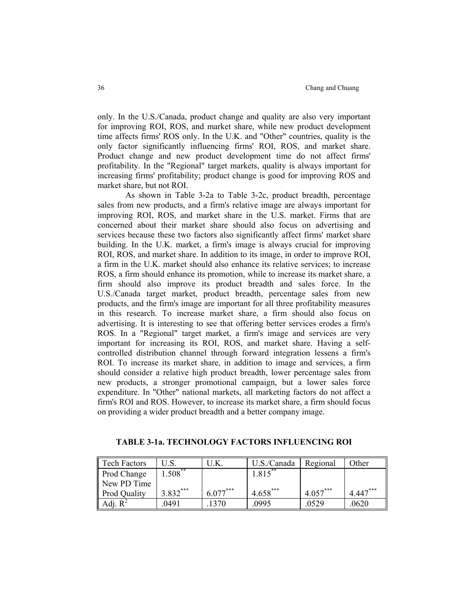only. In the U.S./Canada, product change and quality are also very important for improving ROI, ROS, and market share, while new product development time affects firms' ROS only. In the U.K. and "Other" countries, quality is the only factor significantly influencing firms' ROI, ROS, and market share. Product change and new product development time do not affect firms' profitability. In the "Regional" target markets, quality is always important for increasing firms' profitability; product change is good for improving ROS and market share, but not ROI.

 As shown in Table 3-2a to Table 3-2c, product breadth, percentage sales from new products, and a firm's relative image are always important for improving ROI, ROS, and market share in the U.S. market. Firms that are concerned about their market share should also focus on advertising and services because these two factors also significantly affect firms' market share building. In the U.K. market, a firm's image is always crucial for improving ROI, ROS, and market share. In addition to its image, in order to improve ROI, a firm in the U.K. market should also enhance its relative services; to increase ROS, a firm should enhance its promotion, while to increase its market share, a firm should also improve its product breadth and sales force. In the U.S./Canada target market, product breadth, percentage sales from new products, and the firm's image are important for all three profitability measures in this research. To increase market share, a firm should also focus on advertising. It is interesting to see that offering better services erodes a firm's ROS. In a "Regional" target market, a firm's image and services are very important for increasing its ROI, ROS, and market share. Having a selfcontrolled distribution channel through forward integration lessens a firm's ROI. To increase its market share, in addition to image and services, a firm should consider a relative high product breadth, lower percentage sales from new products, a stronger promotional campaign, but a lower sales force expenditure. In "Other" national markets, all marketing factors do not affect a firm's ROI and ROS. However, to increase its market share, a firm should focus on providing a wider product breadth and a better company image.

| <b>Tech Factors</b> |            | U.K.       | U.S./Canada | Regional   | Other      |
|---------------------|------------|------------|-------------|------------|------------|
| Prod Change         | $1.508***$ |            | $1.815***$  |            |            |
| New PD Time         |            |            |             |            |            |
| <b>Prod Quality</b> | $3.832***$ | $6.077***$ | $4.658***$  | $4.057***$ | $4.447***$ |
| Adj. $R^2$          | .0491      | 1370       | .0995       | .0529      | .0620      |

#### **TABLE 3-1a. TECHNOLOGY FACTORS INFLUENCING ROI**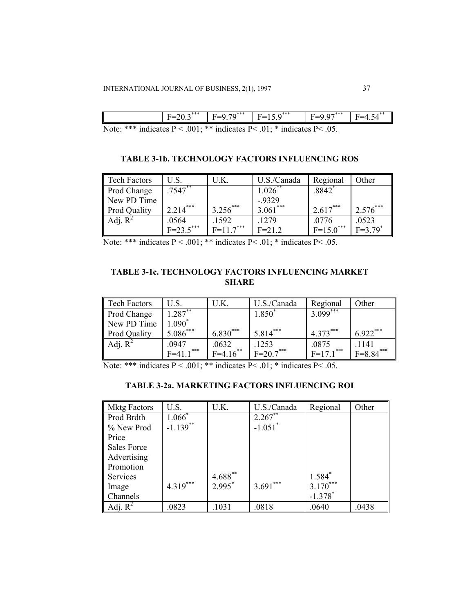|                | ***<br>=<br>້⇔ູ             | ***<br>$\sim$<br>$- -$<br>$\sim$ | .***                          | *** | II<br>. |
|----------------|-----------------------------|----------------------------------|-------------------------------|-----|---------|
| $\mathbf{r}$ . | $\sim$ 0.01<br>$\mathbf{r}$ | ala ala                          | <b>P</b> $\sim$ 0.1<br>$-1 -$ | .   |         |

Note: \*\*\* indicates P < .001; \*\* indicates P < .01; \* indicates P < .05.

## **TABLE 3-1b. TECHNOLOGY FACTORS INFLUENCING ROS**

| <b>Tech Factors</b> | U.S.           | U.K.        | U.S./Canada           | Regional    | Other                 |
|---------------------|----------------|-------------|-----------------------|-------------|-----------------------|
| Prod Change         | $.7547**$      |             | $1.026$ **            | $.8842$ $*$ |                       |
| New PD Time         |                |             | $-0.9329$<br>3.061*** |             |                       |
| Prod Quality        | $2.214***$     | $3.256***$  |                       | $2.617***$  | $2.576***$            |
| Adj. $R^2$          | .0564          | .1592       | .1279                 | .0776       | .0523                 |
|                     | $F = 23.5$ *** | $F=11.7***$ | $F = 21.2$            | $F=15.0***$ | $F=3.79$ <sup>*</sup> |

Note: \*\*\* indicates  $P < .001$ ; \*\* indicates  $P < .01$ ; \* indicates  $P < .05$ .

# **TABLE 3-1c. TECHNOLOGY FACTORS INFLUENCING MARKET SHARE**

| <b>Tech Factors</b> | U.S.          | U.K.        | U.S./Canada    | Regional               | Other       |
|---------------------|---------------|-------------|----------------|------------------------|-------------|
| Prod Change         | $1.287**$     |             | $1.850^{*}$    | $3.099***$             |             |
| New PD Time         | $1.090^*$     |             |                |                        |             |
| Prod Quality        | 5.086***      | $6.830***$  | $5.814***$     | $4.373***$             | $6.922***$  |
| Adj. $R^2$          | .0947         | .0632       | .1253          | .0875                  | 1141        |
|                     | $F = 411$ *** | $F=4.16$ ** | $F = 20.7$ *** | $F=171$ <sup>***</sup> | $F=8.84***$ |

Note: \*\*\* indicates  $P < .001$ ; \*\* indicates P $< .01$ ; \* indicates P $< .05$ .

# **TABLE 3-2a. MARKETING FACTORS INFLUENCING ROI**

| <b>Mktg Factors</b> | U.S.        | U.K.      | U.S./Canada           | Regional              | Other |
|---------------------|-------------|-----------|-----------------------|-----------------------|-------|
| Prod Brdth          | $1.066*$    |           | 2.267                 |                       |       |
| % New Prod          | $-1.139$ ** |           | $-1.051$ <sup>*</sup> |                       |       |
| Price               |             |           |                       |                       |       |
| <b>Sales Force</b>  |             |           |                       |                       |       |
| Advertising         |             |           |                       |                       |       |
| Promotion           |             |           |                       |                       |       |
| <b>Services</b>     |             | 4.688**   |                       | $1.584*$              |       |
| Image               | $4.319***$  | $2.995^*$ | $3.691***$            | $3.170***$            |       |
| Channels            |             |           |                       | $-1.378$ <sup>*</sup> |       |
| Adj. $R^2$          | .0823       | .1031     | .0818                 | .0640                 | .0438 |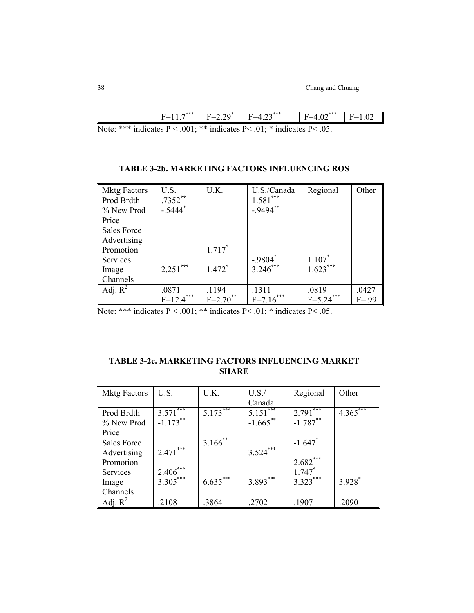|              |             | ** | $\sim$ | $\mathbf{a} \cdot \mathbf{a}$<br>. | - - ***<br>◡              |  |
|--------------|-------------|----|--------|------------------------------------|---------------------------|--|
| $\mathbf{X}$ | مله مله مله |    |        | $\mathbf{R}$ $\mathbf{R}$          | $\mathbf{D}$ $\mathbf{A}$ |  |

Note: \*\*\* indicates  $P < .001$ ; \*\* indicates P $< .01$ ; \* indicates P $< .05$ .

| <b>Mktg Factors</b> | U.S.                  | U.K.        | U.S./Canada                       | Regional    | Other    |
|---------------------|-----------------------|-------------|-----------------------------------|-------------|----------|
| Prod Brdth          | $.7352***$            |             | $1.581$ <sup>***</sup>            |             |          |
| % New Prod          | $-.5444$ <sup>*</sup> |             | $-9494$ **                        |             |          |
| Price               |                       |             |                                   |             |          |
| <b>Sales Force</b>  |                       |             |                                   |             |          |
| Advertising         |                       |             |                                   |             |          |
| Promotion           |                       | $1.717*$    |                                   |             |          |
| Services            |                       |             | $-0.9804$<br>3.246 <sup>***</sup> | $1.107*$    |          |
| Image               | $2.251***$            | $1.472*$    |                                   | $1.623***$  |          |
| Channels            |                       |             |                                   |             |          |
| Adj. $R^2$          | .0871                 | .1194       | .1311                             | .0819       | .0427    |
|                     | $F=12.4***$           | $F=2.70$ ** | $F=7.16***$                       | $F=5.24***$ | $F = 99$ |

Note: \*\*\* indicates  $P < .001$ ; \*\* indicates  $P < .01$ ; \* indicates  $P < .05$ .

| <b>TABLE 3-2c. MARKETING FACTORS INFLUENCING MARKET</b> |
|---------------------------------------------------------|
| <b>SHARE</b>                                            |

| <b>Mktg Factors</b> | U.S.                   | U.K.       | U.S.        | Regional              | Other                  |
|---------------------|------------------------|------------|-------------|-----------------------|------------------------|
|                     |                        |            | Canada      |                       |                        |
| Prod Brdth          | $3.571$ <sup>***</sup> | $5.173***$ | $5.151***$  | $2.791***$            | $4.365$ <sup>***</sup> |
| % New Prod          | $-1.173***$            |            | $-1.665$ ** | $-1.787***$           |                        |
| Price               |                        |            |             |                       |                        |
| <b>Sales Force</b>  |                        | $3.166$ ** |             | $-1.647$ <sup>*</sup> |                        |
| Advertising         | $2.471***$             |            | $3.524***$  |                       |                        |
| Promotion           |                        |            |             | $2.682***$            |                        |
| Services            | $2.406***$             |            |             | $1.747*$              |                        |
| Image               | $3.305***$             | $6.635***$ | $3.893***$  | $3.323***$            | $3.928*$               |
| Channels            |                        |            |             |                       |                        |
| Adj. $R^2$          | .2108                  | .3864      | .2702       | .1907                 | .2090                  |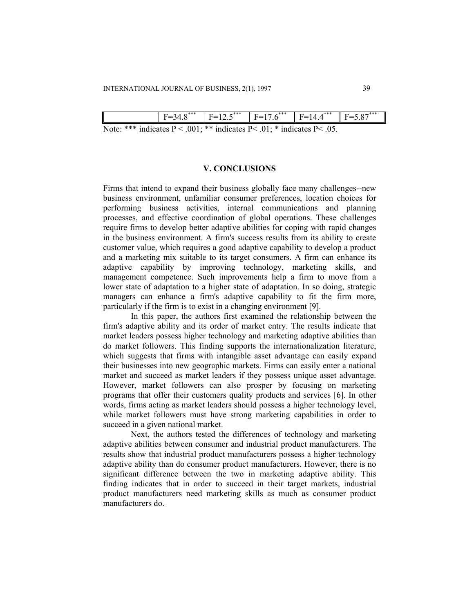|                                                                                                | *** | ***<br>. — .<br>⊸ ∙ | *** | *** | ∥<br>$\checkmark$ |
|------------------------------------------------------------------------------------------------|-----|---------------------|-----|-----|-------------------|
| Mata, *** indicates $D \times 0.01$ , ** indicates $D \times 0.1$ , * indicates $D \times 0.5$ |     |                     |     |     |                   |

Note: \*\*\* indicates  $P < .001$ ; \*\* indicates  $P < .01$ ; \* indicates  $P < .05$ .

### **V. CONCLUSIONS**

Firms that intend to expand their business globally face many challenges--new business environment, unfamiliar consumer preferences, location choices for performing business activities, internal communications and planning processes, and effective coordination of global operations. These challenges require firms to develop better adaptive abilities for coping with rapid changes in the business environment. A firm's success results from its ability to create customer value, which requires a good adaptive capability to develop a product and a marketing mix suitable to its target consumers. A firm can enhance its adaptive capability by improving technology, marketing skills, and management competence. Such improvements help a firm to move from a lower state of adaptation to a higher state of adaptation. In so doing, strategic managers can enhance a firm's adaptive capability to fit the firm more, particularly if the firm is to exist in a changing environment [9].

 In this paper, the authors first examined the relationship between the firm's adaptive ability and its order of market entry. The results indicate that market leaders possess higher technology and marketing adaptive abilities than do market followers. This finding supports the internationalization literature, which suggests that firms with intangible asset advantage can easily expand their businesses into new geographic markets. Firms can easily enter a national market and succeed as market leaders if they possess unique asset advantage. However, market followers can also prosper by focusing on marketing programs that offer their customers quality products and services [6]. In other words, firms acting as market leaders should possess a higher technology level, while market followers must have strong marketing capabilities in order to succeed in a given national market.

 Next, the authors tested the differences of technology and marketing adaptive abilities between consumer and industrial product manufacturers. The results show that industrial product manufacturers possess a higher technology adaptive ability than do consumer product manufacturers. However, there is no significant difference between the two in marketing adaptive ability. This finding indicates that in order to succeed in their target markets, industrial product manufacturers need marketing skills as much as consumer product manufacturers do.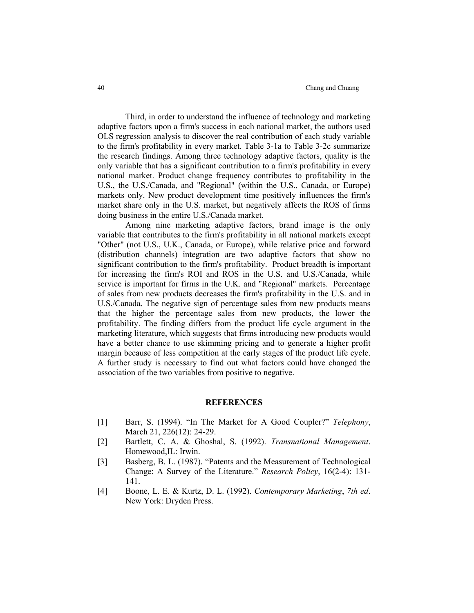Third, in order to understand the influence of technology and marketing adaptive factors upon a firm's success in each national market, the authors used OLS regression analysis to discover the real contribution of each study variable to the firm's profitability in every market. Table 3-1a to Table 3-2c summarize the research findings. Among three technology adaptive factors, quality is the only variable that has a significant contribution to a firm's profitability in every national market. Product change frequency contributes to profitability in the U.S., the U.S./Canada, and "Regional" (within the U.S., Canada, or Europe) markets only. New product development time positively influences the firm's market share only in the U.S. market, but negatively affects the ROS of firms doing business in the entire U.S./Canada market.

 Among nine marketing adaptive factors, brand image is the only variable that contributes to the firm's profitability in all national markets except "Other" (not U.S., U.K., Canada, or Europe), while relative price and forward (distribution channels) integration are two adaptive factors that show no significant contribution to the firm's profitability. Product breadth is important for increasing the firm's ROI and ROS in the U.S. and U.S./Canada, while service is important for firms in the U.K. and "Regional" markets. Percentage of sales from new products decreases the firm's profitability in the U.S. and in U.S./Canada. The negative sign of percentage sales from new products means that the higher the percentage sales from new products, the lower the profitability. The finding differs from the product life cycle argument in the marketing literature, which suggests that firms introducing new products would have a better chance to use skimming pricing and to generate a higher profit margin because of less competition at the early stages of the product life cycle. A further study is necessary to find out what factors could have changed the association of the two variables from positive to negative.

#### **REFERENCES**

- [1] Barr, S. (1994). "In The Market for A Good Coupler?" *Telephony*, March 21, 226(12): 24-29.
- [2] Bartlett, C. A. & Ghoshal, S. (1992). *Transnational Management*. Homewood,IL: Irwin.
- [3] Basberg, B. L. (1987). "Patents and the Measurement of Technological Change: A Survey of the Literature." *Research Policy*, 16(2-4): 131- 141.
- [4] Boone, L. E. & Kurtz, D. L. (1992). *Contemporary Marketing*, *7th ed*. New York: Dryden Press.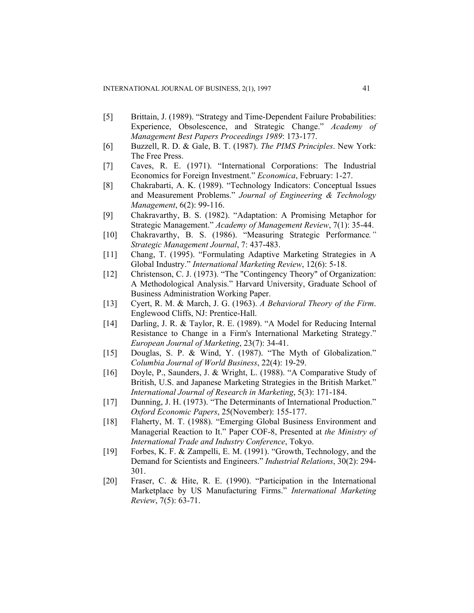- [5] Brittain, J. (1989). "Strategy and Time-Dependent Failure Probabilities: Experience, Obsolescence, and Strategic Change." *Academy of Management Best Papers Proceedings 1989*: 173-177.
- [6] Buzzell, R. D. & Gale, B. T. (1987). *The PIMS Principles*. New York: The Free Press.
- [7] Caves, R. E. (1971). "International Corporations: The Industrial Economics for Foreign Investment." *Economica*, February: 1-27.
- [8] Chakrabarti, A. K. (1989). "Technology Indicators: Conceptual Issues and Measurement Problems." *Journal of Engineering & Technology Management*, 6(2): 99-116.
- [9] Chakravarthy, B. S. (1982). "Adaptation: A Promising Metaphor for Strategic Management." *Academy of Management Review*, 7(1): 35-44.
- [10] Chakravarthy, B. S. (1986). "Measuring Strategic Performance*." Strategic Management Journal*, 7: 437-483.
- [11] Chang, T. (1995). "Formulating Adaptive Marketing Strategies in A Global Industry." *International Marketing Review*, 12(6): 5-18.
- [12] Christenson, C. J. (1973). "The "Contingency Theory" of Organization: A Methodological Analysis." Harvard University, Graduate School of Business Administration Working Paper.
- [13] Cyert, R. M. & March, J. G. (1963). *A Behavioral Theory of the Firm*. Englewood Cliffs, NJ: Prentice-Hall.
- [14] Darling, J. R. & Taylor, R. E. (1989). "A Model for Reducing Internal Resistance to Change in a Firm's International Marketing Strategy." *European Journal of Marketing*, 23(7): 34-41.
- [15] Douglas, S. P. & Wind, Y. (1987). "The Myth of Globalization." *Columbia Journal of World Business*, 22(4): 19-29.
- [16] Doyle, P., Saunders, J. & Wright, L. (1988). "A Comparative Study of British, U.S. and Japanese Marketing Strategies in the British Market." *International Journal of Research in Marketing*, 5(3): 171-184.
- [17] Dunning, J. H. (1973). "The Determinants of International Production." *Oxford Economic Papers*, 25(November): 155-177.
- [18] Flaherty, M. T. (1988). "Emerging Global Business Environment and Managerial Reaction to It." Paper COF-8, Presented at *the Ministry of International Trade and Industry Conference*, Tokyo.
- [19] Forbes, K. F. & Zampelli, E. M. (1991). "Growth, Technology, and the Demand for Scientists and Engineers." *Industrial Relations*, 30(2): 294- 301.
- [20] Fraser, C. & Hite, R. E. (1990). "Participation in the International Marketplace by US Manufacturing Firms." *International Marketing Review*, 7(5): 63-71.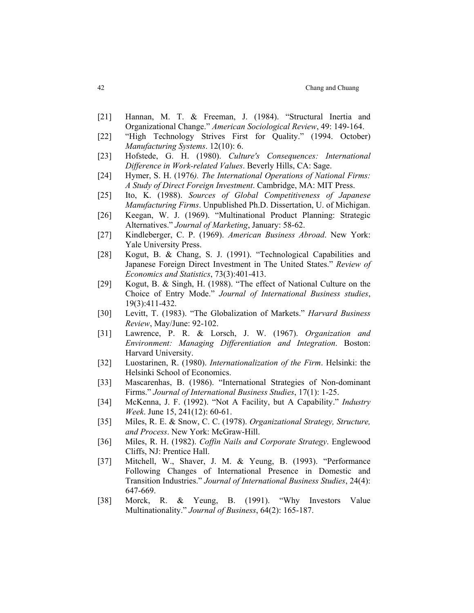- [21] Hannan, M. T. & Freeman, J. (1984). "Structural Inertia and Organizational Change." *American Sociological Review*, 49: 149-164.
- [22] "High Technology Strives First for Quality." (1994. October) *Manufacturing Systems*. 12(10): 6.
- [23] Hofstede, G. H. (1980). *Culture's Consequences: International Difference in Work-related Values*. Beverly Hills, CA: Sage.
- [24] Hymer, S. H. (1976*). The International Operations of National Firms: A Study of Direct Foreign Investment*. Cambridge, MA: MIT Press.
- [25] Ito, K. (1988). *Sources of Global Competitiveness of Japanese Manufacturing Firms*. Unpublished Ph.D. Dissertation, U. of Michigan.
- [26] Keegan, W. J. (1969). "Multinational Product Planning: Strategic Alternatives." *Journal of Marketing*, January: 58-62.
- [27] Kindleberger, C. P. (1969). *American Business Abroad*. New York: Yale University Press.
- [28] Kogut, B. & Chang, S. J. (1991). "Technological Capabilities and Japanese Foreign Direct Investment in The United States." *Review of Economics and Statistics*, 73(3):401-413.
- [29] Kogut, B. & Singh, H. (1988). "The effect of National Culture on the Choice of Entry Mode." *Journal of International Business studies*, 19(3):411-432.
- [30] Levitt, T. (1983). "The Globalization of Markets." *Harvard Business Review*, May/June: 92-102.
- [31] Lawrence, P. R. & Lorsch, J. W. (1967). *Organization and Environment: Managing Differentiation and Integration*. Boston: Harvard University.
- [32] Luostarinen, R. (1980). *Internationalization of the Firm*. Helsinki: the Helsinki School of Economics.
- [33] Mascarenhas, B. (1986). "International Strategies of Non-dominant Firms." *Journal of International Business Studies*, 17(1): 1-25.
- [34] McKenna, J. F. (1992). "Not A Facility, but A Capability." *Industry Week*. June 15, 241(12): 60-61.
- [35] Miles, R. E. & Snow, C. C. (1978). *Organizational Strategy, Structure, and Process*. New York: McGraw-Hill.
- [36] Miles, R. H. (1982). *Coffin Nails and Corporate Strategy*. Englewood Cliffs, NJ: Prentice Hall.
- [37] Mitchell, W., Shaver, J. M. & Yeung, B. (1993). "Performance Following Changes of International Presence in Domestic and Transition Industries." *Journal of International Business Studies*, 24(4): 647-669.
- [38] Morck, R. & Yeung, B. (1991). "Why Investors Value Multinationality." *Journal of Business*, 64(2): 165-187.